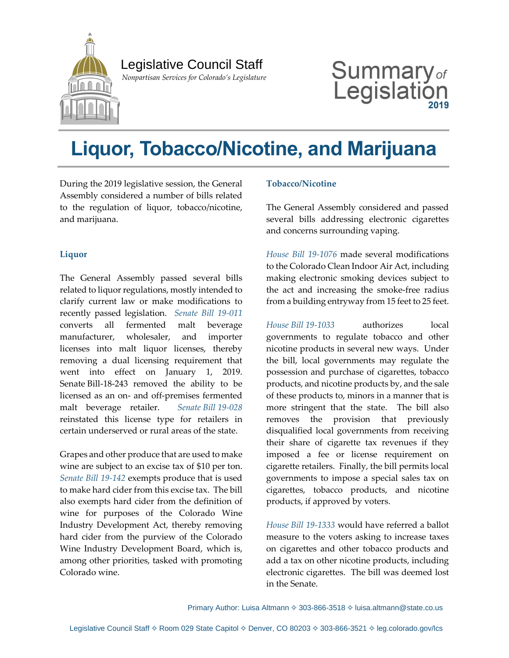

## Legislative Council Staff

 *Nonpartisan Services for Colorado's Legislature*

# Summary $_{\textit{of}}$ Legislation

## **Liquor, Tobacco/Nicotine, and Marijuana**

During the 2019 legislative session, the General Assembly considered a number of bills related to the regulation of liquor, tobacco/nicotine, and marijuana.

#### **Liquor**

The General Assembly passed several bills related to liquor regulations, mostly intended to clarify current law or make modifications to recently passed legislation. *[Senate Bill 19-011](https://leg.colorado.gov/bills/sb19-011)* converts all fermented malt beverage manufacturer, wholesaler, and importer licenses into malt liquor licenses, thereby removing a dual licensing requirement that went into effect on January 1, 2019. Senate Bill-18-243 removed the ability to be licensed as an on- and off-premises fermented malt beverage retailer. *Senate Bill [19-028](https://leg.colorado.gov/bills/sb19-028)* reinstated this license type for retailers in certain underserved or rural areas of the state.

Grapes and other produce that are used to make wine are subject to an excise tax of \$10 per ton. *[Senate Bill 19-142](https://leg.colorado.gov/bills/sb19-142)* exempts produce that is used to make hard cider from this excise tax. The bill also exempts hard cider from the definition of wine for purposes of the Colorado Wine Industry Development Act, thereby removing hard cider from the purview of the Colorado Wine Industry Development Board, which is, among other priorities, tasked with promoting Colorado wine.

#### **Tobacco/Nicotine**

The General Assembly considered and passed several bills addressing electronic cigarettes and concerns surrounding vaping.

*[House Bill 19-1076](https://leg.colorado.gov/bills/hb19-1076)* made several modifications to the Colorado Clean Indoor Air Act, including making electronic smoking devices subject to the act and increasing the smoke-free radius from a building entryway from 15 feet to 25 feet.

*House Bill [19-1033](https://leg.colorado.gov/bills/hb19-1033)* authorizes local governments to regulate tobacco and other nicotine products in several new ways. Under the bill, local governments may regulate the possession and purchase of cigarettes, tobacco products, and nicotine products by, and the sale of these products to, minors in a manner that is more stringent that the state. The bill also removes the provision that previously disqualified local governments from receiving their share of cigarette tax revenues if they imposed a fee or license requirement on cigarette retailers. Finally, the bill permits local governments to impose a special sales tax on cigarettes, tobacco products, and nicotine products, if approved by voters.

*House [Bill 19-1333](https://leg.colorado.gov/bills/hb19-1333)* would have referred a ballot measure to the voters asking to increase taxes on cigarettes and other tobacco products and add a tax on other nicotine products, including electronic cigarettes. The bill was deemed lost in the Senate.